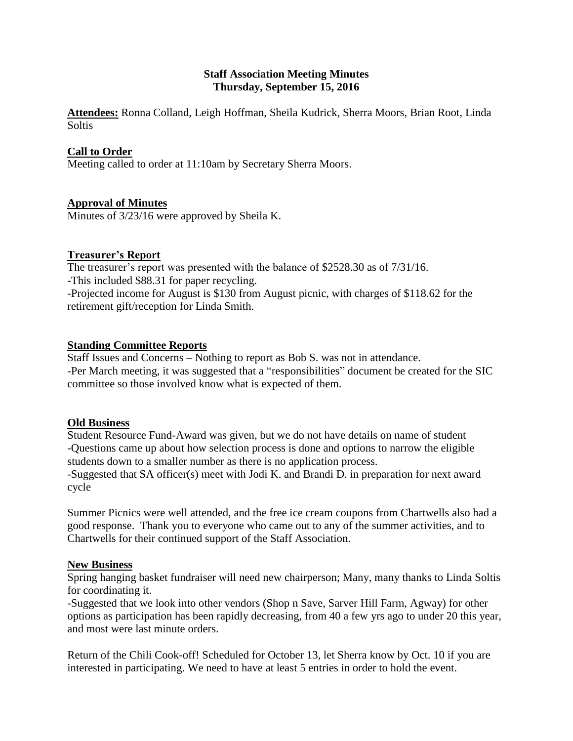# **Staff Association Meeting Minutes Thursday, September 15, 2016**

**Attendees:** Ronna Colland, Leigh Hoffman, Sheila Kudrick, Sherra Moors, Brian Root, Linda **Soltis** 

# **Call to Order**

Meeting called to order at 11:10am by Secretary Sherra Moors.

### **Approval of Minutes**

Minutes of 3/23/16 were approved by Sheila K.

### **Treasurer's Report**

The treasurer's report was presented with the balance of \$2528.30 as of 7/31/16. -This included \$88.31 for paper recycling. -Projected income for August is \$130 from August picnic, with charges of \$118.62 for the retirement gift/reception for Linda Smith.

### **Standing Committee Reports**

Staff Issues and Concerns – Nothing to report as Bob S. was not in attendance. -Per March meeting, it was suggested that a "responsibilities" document be created for the SIC committee so those involved know what is expected of them.

#### **Old Business**

Student Resource Fund-Award was given, but we do not have details on name of student -Questions came up about how selection process is done and options to narrow the eligible students down to a smaller number as there is no application process. -Suggested that SA officer(s) meet with Jodi K. and Brandi D. in preparation for next award cycle

Summer Picnics were well attended, and the free ice cream coupons from Chartwells also had a good response. Thank you to everyone who came out to any of the summer activities, and to Chartwells for their continued support of the Staff Association.

#### **New Business**

Spring hanging basket fundraiser will need new chairperson; Many, many thanks to Linda Soltis for coordinating it.

-Suggested that we look into other vendors (Shop n Save, Sarver Hill Farm, Agway) for other options as participation has been rapidly decreasing, from 40 a few yrs ago to under 20 this year, and most were last minute orders.

Return of the Chili Cook-off! Scheduled for October 13, let Sherra know by Oct. 10 if you are interested in participating. We need to have at least 5 entries in order to hold the event.